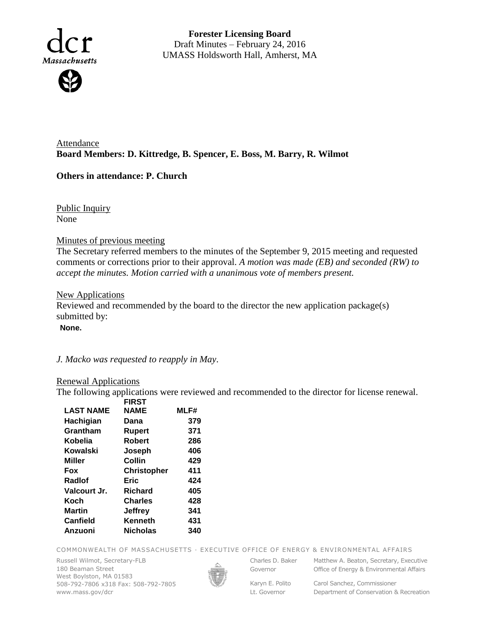

**Forester Licensing Board**  Draft Minutes – February 24, 2016 UMASS Holdsworth Hall, Amherst, MA

Attendance **Board Members: D. Kittredge, B. Spencer, E. Boss, M. Barry, R. Wilmot**

## **Others in attendance: P. Church**

Public Inquiry None

## Minutes of previous meeting

The Secretary referred members to the minutes of the September 9, 2015 meeting and requested comments or corrections prior to their approval. *A motion was made (EB) and seconded (RW) to accept the minutes. Motion carried with a unanimous vote of members present.*

## New Applications

Reviewed and recommended by the board to the director the new application package(s) submitted by:

**None.**

*J. Macko was requested to reapply in May*.

## Renewal Applications

The following applications were reviewed and recommended to the director for license renewal.

|                  | <b>FIRST</b>       |      |
|------------------|--------------------|------|
| <b>LAST NAME</b> | <b>NAME</b>        | MLF# |
| Hachigian        | Dana               | 379  |
| Grantham         | Rupert             | 371  |
| Kobelia          | <b>Robert</b>      | 286  |
| Kowalski         | Joseph             | 406  |
| Miller           | Collin             | 429  |
| Fox              | <b>Christopher</b> | 411  |
| Radiof           | Eric               | 424  |
| Valcourt Jr.     | Richard            | 405  |
| Koch             | Charles            | 428  |
| <b>Martin</b>    | Jeffrey            | 341  |
| <b>Canfield</b>  | Kenneth            | 431  |
| Anzuoni          | <b>Nicholas</b>    | 340  |
|                  |                    |      |

COMMONWEALTH OF MASSACHUSETTS · EXECUTIVE OFFICE OF ENERGY & ENVIRONMENTAL AFFAIRS

Russell Wilmot, Secretary-FLB 180 Beaman Street West Boylston, MA 01583 508-792-7806 x318 Fax: 508-792-7805 www.mass.gov/dcr



Governor

Charles D. Baker Matthew A. Beaton, Secretary, Executive Office of Energy & Environmental Affairs

Lt. Governor

Karyn E. Polito Carol Sanchez, Commissioner Department of Conservation & Recreation